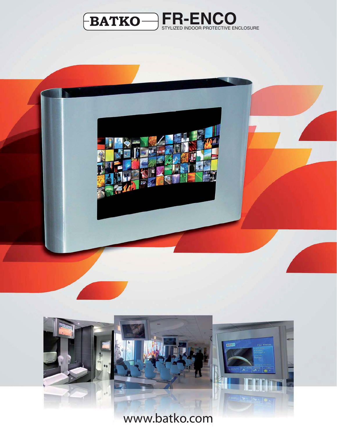





# www.batko.com